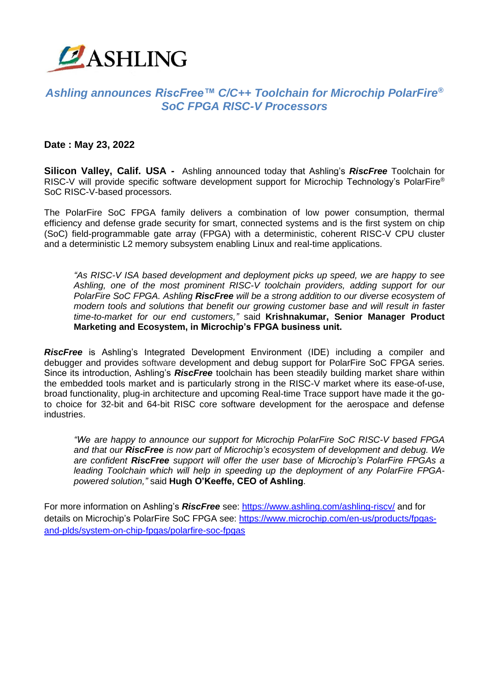

## *Ashling announces RiscFree™ C/C++ Toolchain for Microchip PolarFire® SoC FPGA RISC-V Processors*

## **Date : May 23, 2022**

**Silicon Valley, Calif. USA -** Ashling announced today that Ashling's *RiscFree* Toolchain for RISC-V will provide specific software development support for Microchip Technology's PolarFire® SoC RISC-V-based processors.

The PolarFire SoC FPGA family delivers a combination of low power consumption, thermal efficiency and defense grade security for smart, connected systems and is the first system on chip (SoC) field-programmable gate array (FPGA) with a deterministic, coherent RISC-V CPU cluster and a deterministic L2 memory subsystem enabling Linux and real-time applications.

*"As RISC-V ISA based development and deployment picks up speed, we are happy to see Ashling, one of the most prominent RISC-V toolchain providers, adding support for our PolarFire SoC FPGA. Ashling RiscFree will be a strong addition to our diverse ecosystem of modern tools and solutions that benefit our growing customer base and will result in faster time-to-market for our end customers,"* said **Krishnakumar, Senior Manager Product Marketing and Ecosystem, in Microchip's FPGA business unit.**

*RiscFree* is Ashling's Integrated Development Environment (IDE) including a compiler and debugger and provides software development and debug support for PolarFire SoC FPGA series. Since its introduction, Ashling's *RiscFree* toolchain has been steadily building market share within the embedded tools market and is particularly strong in the RISC-V market where its ease-of-use, broad functionality, plug-in architecture and upcoming Real-time Trace support have made it the goto choice for 32-bit and 64-bit RISC core software development for the aerospace and defense industries.

*"We are happy to announce our support for Microchip PolarFire SoC RISC-V based FPGA and that our RiscFree is now part of Microchip's ecosystem of development and debug. We are confident RiscFree support will offer the user base of Microchip's PolarFire FPGAs a leading Toolchain which will help in speeding up the deployment of any PolarFire FPGApowered solution,"* said **Hugh O'Keeffe, CEO of Ashling**.

For more information on Ashling's *RiscFree* see: https://www.ashling.com/ashling-riscy/ and for details on Microchip's PolarFire SoC FPGA see: https://www.microchip.com/en-us/products/fpgasand-plds/system-on-chip-fpgas/polarfire-soc-fpgas